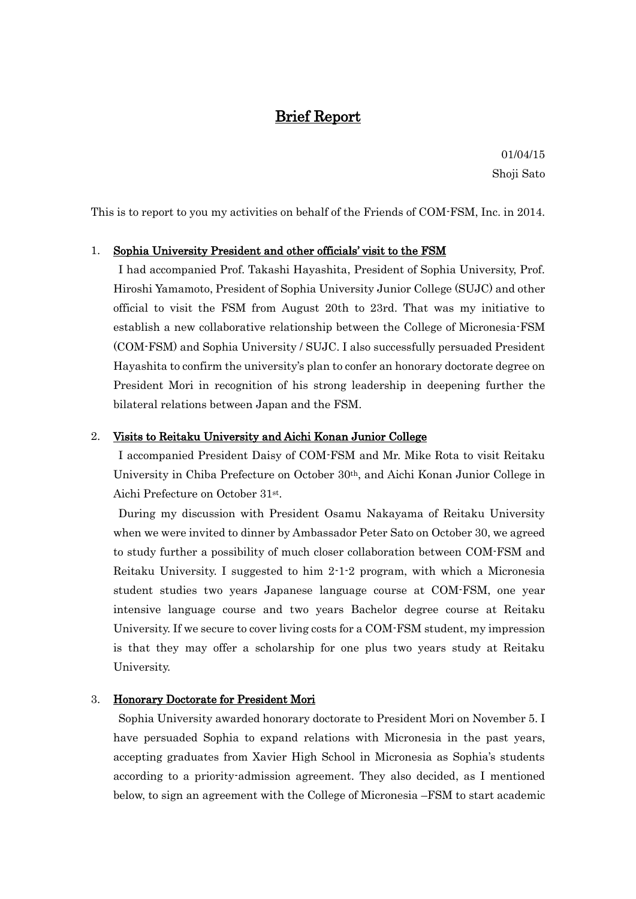# Brief Report

01/04/15 Shoji Sato

This is to report to you my activities on behalf of the Friends of COM-FSM, Inc. in 2014.

### 1. Sophia University President and other officials' visit to the FSM

I had accompanied Prof. Takashi Hayashita, President of Sophia University, Prof. Hiroshi Yamamoto, President of Sophia University Junior College (SUJC) and other official to visit the FSM from August 20th to 23rd. That was my initiative to establish a new collaborative relationship between the College of Micronesia-FSM (COM-FSM) and Sophia University / SUJC. I also successfully persuaded President Hayashita to confirm the university's plan to confer an honorary doctorate degree on President Mori in recognition of his strong leadership in deepening further the bilateral relations between Japan and the FSM.

#### 2. Visits to Reitaku University and Aichi Konan Junior College

I accompanied President Daisy of COM-FSM and Mr. Mike Rota to visit Reitaku University in Chiba Prefecture on October 30th, and Aichi Konan Junior College in Aichi Prefecture on October 31st .

During my discussion with President Osamu Nakayama of Reitaku University when we were invited to dinner by Ambassador Peter Sato on October 30, we agreed to study further a possibility of much closer collaboration between COM-FSM and Reitaku University. I suggested to him 2-1-2 program, with which a Micronesia student studies two years Japanese language course at COM-FSM, one year intensive language course and two years Bachelor degree course at Reitaku University. If we secure to cover living costs for a COM-FSM student, my impression is that they may offer a scholarship for one plus two years study at Reitaku University.

#### 3. Honorary Doctorate for President Mori

Sophia University awarded honorary doctorate to President Mori on November 5. I have persuaded Sophia to expand relations with Micronesia in the past years, accepting graduates from Xavier High School in Micronesia as Sophia's students according to a priority-admission agreement. They also decided, as I mentioned below, to sign an agreement with the College of Micronesia –FSM to start academic